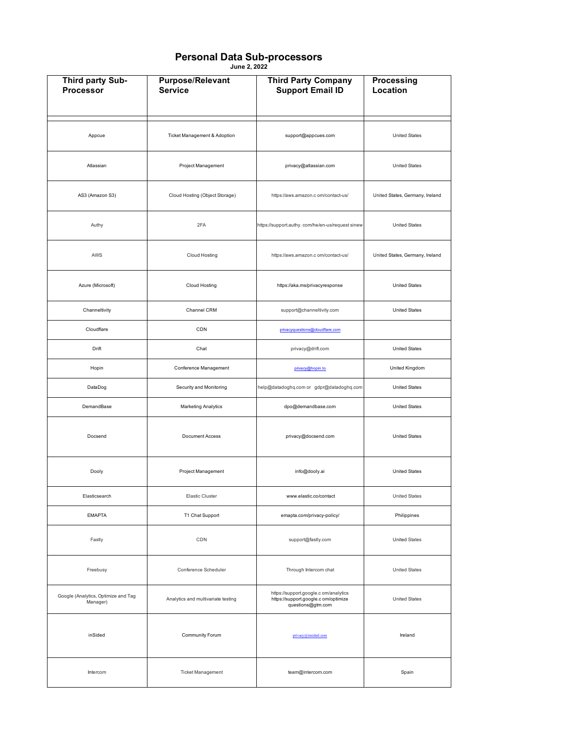## **Personal Data Sub-processors**

**June 2, 2022**

| Third party Sub-<br><b>Processor</b>            | <b>Purpose/Relevant</b><br><b>Service</b> | <b>Third Party Company</b><br><b>Support Email ID</b>                                              | <b>Processing</b><br>Location   |
|-------------------------------------------------|-------------------------------------------|----------------------------------------------------------------------------------------------------|---------------------------------|
|                                                 |                                           |                                                                                                    |                                 |
| Appcue                                          | Ticket Management & Adoption              | support@appcues.com                                                                                | <b>United States</b>            |
| Atlassian                                       | Project Management                        | privacy@atlassian.com                                                                              | <b>United States</b>            |
| AS3 (Amazon S3)                                 | Cloud Hosting (Object Storage)            | https://aws.amazon.c om/contact-us/                                                                | United States, Germany, Ireland |
| Authy                                           | 2FA                                       | https://support.authy.com/he/en-us/request sinew                                                   | <b>United States</b>            |
| AWS                                             | Cloud Hosting                             | https://aws.amazon.c om/contact-us/                                                                | United States, Germany, Ireland |
| Azure (Microsoft)                               | Cloud Hosting                             | https://aka.ms/privacyresponse                                                                     | <b>United States</b>            |
| Channeltivity                                   | Channel CRM                               | support@channeltivity.com                                                                          | <b>United States</b>            |
| Cloudflare                                      | CDN                                       | privacyquestions@cloudflare.com                                                                    |                                 |
| Drift                                           | Chat                                      | privacy@drift.com                                                                                  | <b>United States</b>            |
| Hopin                                           | Conference Management                     | privacy@hopin.to                                                                                   | United Kingdom                  |
| DataDog                                         | Security and Monitoring                   | help@datadoghq.com or gdpr@datadoghq.com                                                           | <b>United States</b>            |
| DemandBase                                      | Marketing Analytics                       | dpo@demandbase.com                                                                                 | <b>United States</b>            |
| Docsend                                         | Document Access                           | privacy@docsend.com                                                                                | <b>United States</b>            |
| Dooly                                           | Project Management                        | info@dooly.ai                                                                                      | <b>United States</b>            |
| Elasticsearch                                   | <b>Elastic Cluster</b>                    | www.elastic.co/contact                                                                             | <b>United States</b>            |
| <b>EMAPTA</b>                                   | T1 Chat Support                           | emapta.com/privacy-policy/                                                                         | Philippines                     |
| Fastly                                          | CDN                                       | support@fastly.com                                                                                 | <b>United States</b>            |
| Freebusy                                        | Conference Scheduler                      | Through Intercom chat                                                                              | United States                   |
| Google (Analytics, Optimize and Tag<br>Manager) | Analytics and multivariate testing        | https://support.google.c om/analytics<br>https://support.google.c om/optimize<br>questions@gtm.com | <b>United States</b>            |
| inSided                                         | Community Forum                           | privacy@insided.com                                                                                | Ireland                         |
| Intercom                                        | <b>Ticket Management</b>                  | team@intercom.com                                                                                  | Spain                           |